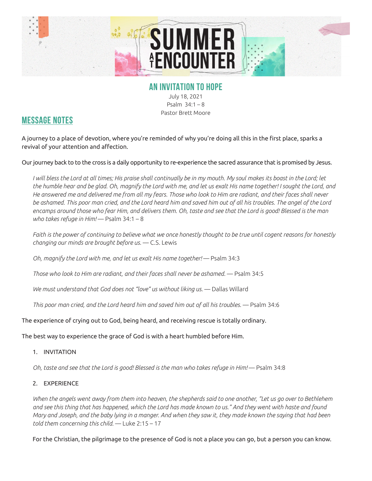

## **AN INVITATION TO HOPE**

July 18, 2021 Psalm 34:1 – 8 Pastor Brett Moore

## **MESSAGE NOTES**

A journey to a place of devotion, where you're reminded of why you're doing all this in the first place, sparks a revival of your attention and affection.

Our journey back to to the cross is a daily opportunity to re-experience the sacred assurance that is promised by Jesus.

*I* will bless the Lord at all times; His praise shall continually be in my mouth. My soul makes its boast in the Lord; let *the humble hear and be glad. Oh, magnify the Lord with me, and let us exalt His name together! I sought the Lord, and He answered me and delivered me from all my fears. Those who look to Him are radiant, and their faces shall never be ashamed. This poor man cried, and the Lord heard him and saved him out of all his troubles. The angel of the Lord encamps around those who fear Him, and delivers them. Oh, taste and see that the Lord is good! Blessed is the man who takes refuge in Him!* — Psalm 34:1 – 8

*Faith is the power of continuing to believe what we once honestly thought to be true until cogent reasons for honestly changing our minds are brought before us.* — C.S. Lewis

*Oh, magnify the Lord with me, and let us exalt His name together!* — Psalm 34:3

*Those who look to Him are radiant, and their faces shall never be ashamed.* — Psalm 34:5

We must understand that God does not "love" us without liking us. — Dallas Willard

*This poor man cried, and the Lord heard him and saved him out of all his troubles.* — Psalm 34:6

The experience of crying out to God, being heard, and receiving rescue is totally ordinary.

The best way to experience the grace of God is with a heart humbled before Him.

1. INVITATION

*Oh, taste and see that the Lord is good! Blessed is the man who takes refuge in Him!* — Psalm 34:8

2. EXPERIENCE

*When the angels went away from them into heaven, the shepherds said to one another, "Let us go over to Bethlehem and see this thing that has happened, which the Lord has made known to us." And they went with haste and found Mary and Joseph, and the baby lying in a manger. And when they saw it, they made known the saying that had been told them concerning this child.* — Luke 2:15 – 17

For the Christian, the pilgrimage to the presence of God is not a place you can go, but a person you can know.